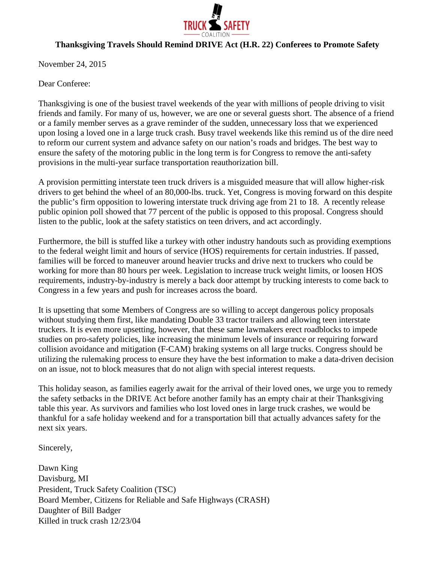

## **Thanksgiving Travels Should Remind DRIVE Act (H.R. 22) Conferees to Promote Safety**

November 24, 2015

Dear Conferee:

Thanksgiving is one of the busiest travel weekends of the year with millions of people driving to visit friends and family. For many of us, however, we are one or several guests short. The absence of a friend or a family member serves as a grave reminder of the sudden, unnecessary loss that we experienced upon losing a loved one in a large truck crash. Busy travel weekends like this remind us of the dire need to reform our current system and advance safety on our nation's roads and bridges. The best way to ensure the safety of the motoring public in the long term is for Congress to remove the anti-safety provisions in the multi-year surface transportation reauthorization bill.

A provision permitting interstate teen truck drivers is a misguided measure that will allow higher-risk drivers to get behind the wheel of an 80,000-lbs. truck. Yet, Congress is moving forward on this despite the public's firm opposition to lowering interstate truck driving age from 21 to 18. A recently release public opinion poll showed that 77 percent of the public is opposed to this proposal. Congress should listen to the public, look at the safety statistics on teen drivers, and act accordingly.

Furthermore, the bill is stuffed like a turkey with other industry handouts such as providing exemptions to the federal weight limit and hours of service (HOS) requirements for certain industries. If passed, families will be forced to maneuver around heavier trucks and drive next to truckers who could be working for more than 80 hours per week. Legislation to increase truck weight limits, or loosen HOS requirements, industry-by-industry is merely a back door attempt by trucking interests to come back to Congress in a few years and push for increases across the board.

It is upsetting that some Members of Congress are so willing to accept dangerous policy proposals without studying them first, like mandating Double 33 tractor trailers and allowing teen interstate truckers. It is even more upsetting, however, that these same lawmakers erect roadblocks to impede studies on pro-safety policies, like increasing the minimum levels of insurance or requiring forward collision avoidance and mitigation (F-CAM) braking systems on all large trucks. Congress should be utilizing the rulemaking process to ensure they have the best information to make a data-driven decision on an issue, not to block measures that do not align with special interest requests.

This holiday season, as families eagerly await for the arrival of their loved ones, we urge you to remedy the safety setbacks in the DRIVE Act before another family has an empty chair at their Thanksgiving table this year. As survivors and families who lost loved ones in large truck crashes, we would be thankful for a safe holiday weekend and for a transportation bill that actually advances safety for the next six years.

Sincerely,

Dawn King Davisburg, MI President, Truck Safety Coalition (TSC) Board Member, Citizens for Reliable and Safe Highways (CRASH) Daughter of Bill Badger Killed in truck crash 12/23/04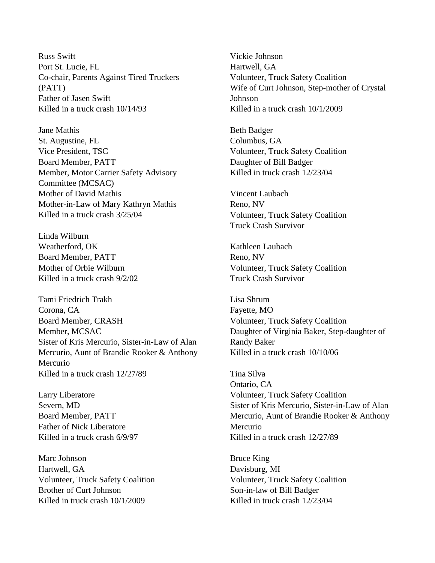Russ Swift Port St. Lucie, FL Co-chair, Parents Against Tired Truckers (PATT) Father of Jasen Swift Killed in a truck crash 10/14/93

Jane Mathis St. Augustine, FL Vice President, TSC Board Member, PATT Member, Motor Carrier Safety Advisory Committee (MCSAC) Mother of David Mathis Mother-in-Law of Mary Kathryn Mathis Killed in a truck crash 3/25/04

Linda Wilburn Weatherford, OK Board Member, PATT Mother of Orbie Wilburn Killed in a truck crash 9/2/02

Tami Friedrich Trakh Corona, CA Board Member, CRASH Member, MCSAC Sister of Kris Mercurio, Sister-in-Law of Alan Mercurio, Aunt of Brandie Rooker & Anthony Mercurio Killed in a truck crash 12/27/89

Larry Liberatore Severn, MD Board Member, PATT Father of Nick Liberatore Killed in a truck crash 6/9/97

Marc Johnson Hartwell, GA Volunteer, Truck Safety Coalition Brother of Curt Johnson Killed in truck crash 10/1/2009

Vickie Johnson Hartwell, GA Volunteer, Truck Safety Coalition Wife of Curt Johnson, Step-mother of Crystal Johnson Killed in a truck crash 10/1/2009

Beth Badger Columbus, GA Volunteer, Truck Safety Coalition Daughter of Bill Badger Killed in truck crash 12/23/04

Vincent Laubach Reno, NV Volunteer, Truck Safety Coalition Truck Crash Survivor

Kathleen Laubach Reno, NV Volunteer, Truck Safety Coalition Truck Crash Survivor

Lisa Shrum Fayette, MO Volunteer, Truck Safety Coalition Daughter of Virginia Baker, Step-daughter of Randy Baker Killed in a truck crash 10/10/06

Tina Silva Ontario, CA Volunteer, Truck Safety Coalition Sister of Kris Mercurio, Sister-in-Law of Alan Mercurio, Aunt of Brandie Rooker & Anthony Mercurio Killed in a truck crash 12/27/89

Bruce King Davisburg, MI Volunteer, Truck Safety Coalition Son-in-law of Bill Badger Killed in truck crash 12/23/04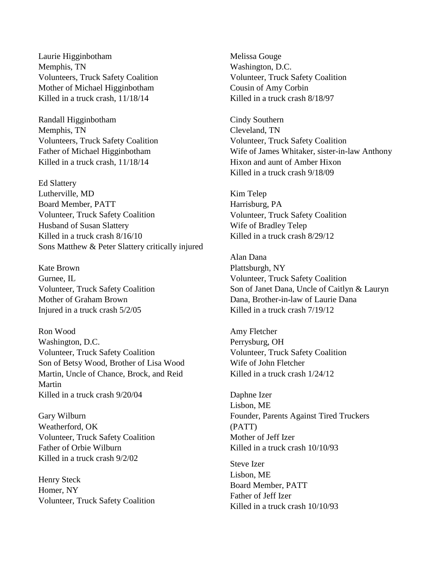Laurie Higginbotham Memphis, TN Volunteers, Truck Safety Coalition Mother of Michael Higginbotham Killed in a truck crash, 11/18/14

Randall Higginbotham Memphis, TN Volunteers, Truck Safety Coalition Father of Michael Higginbotham Killed in a truck crash, 11/18/14

Ed Slattery Lutherville, MD Board Member, PATT Volunteer, Truck Safety Coalition Husband of Susan Slattery Killed in a truck crash 8/16/10 Sons Matthew & Peter Slattery critically injured

Kate Brown Gurnee, IL Volunteer, Truck Safety Coalition Mother of Graham Brown Injured in a truck crash 5/2/05

Ron Wood Washington, D.C. Volunteer, Truck Safety Coalition Son of Betsy Wood, Brother of Lisa Wood Martin, Uncle of Chance, Brock, and Reid Martin Killed in a truck crash 9/20/04

Gary Wilburn Weatherford, OK Volunteer, Truck Safety Coalition Father of Orbie Wilburn Killed in a truck crash 9/2/02

Henry Steck Homer, NY Volunteer, Truck Safety Coalition

Melissa Gouge Washington, D.C. Volunteer, Truck Safety Coalition Cousin of Amy Corbin Killed in a truck crash 8/18/97

Cindy Southern Cleveland, TN Volunteer, Truck Safety Coalition Wife of James Whitaker, sister-in-law Anthony Hixon and aunt of Amber Hixon Killed in a truck crash 9/18/09

Kim Telep Harrisburg, PA Volunteer, Truck Safety Coalition Wife of Bradley Telep Killed in a truck crash 8/29/12

Alan Dana Plattsburgh, NY Volunteer, Truck Safety Coalition Son of Janet Dana, Uncle of Caitlyn & Lauryn Dana, Brother-in-law of Laurie Dana Killed in a truck crash 7/19/12

Amy Fletcher Perrysburg, OH Volunteer, Truck Safety Coalition Wife of John Fletcher Killed in a truck crash 1/24/12

Daphne Izer Lisbon, ME Founder, Parents Against Tired Truckers (PATT) Mother of Jeff Izer Killed in a truck crash 10/10/93

Steve Izer Lisbon, ME Board Member, PATT Father of Jeff Izer Killed in a truck crash 10/10/93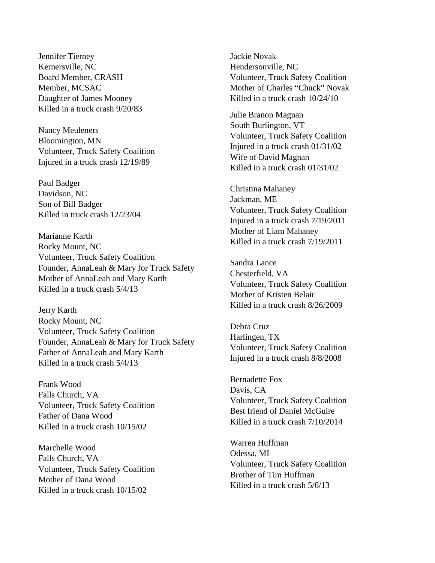Jennifer Tierney Kernersville, NC Board Member, CRASH Member, MCSAC Daughter of James Mooney Killed in a truck crash 9/20/83

Nancy Meuleners Bloomington, MN Volunteer, Truck Safety Coalition Injured in a truck crash 12/19/89

Paul Badger Davidson, NC Son of Bill Badger Killed in truck crash 12/23/04

Marianne Karth Rocky Mount, NC Volunteer, Truck Safety Coalition Founder, AnnaLeah & Mary for Truck Safety Mother of AnnaLeah and Mary Karth Killed in a truck crash 5/4/13

Jerry Karth Rocky Mount, NC Volunteer, Truck Safety Coalition Founder, AnnaLeah & Mary for Truck Safety Father of AnnaLeah and Mary Karth Killed in a truck crash 5/4/13

Frank Wood Falls Church, VA Volunteer, Truck Safety Coalition Father of Dana Wood Killed in a truck crash 10/15/02

Marchelle Wood Falls Church, VA Volunteer, Truck Safety Coalition Mother of Dana Wood Killed in a truck crash 10/15/02

Jackie Novak Hendersonville, NC Volunteer, Truck Safety Coalition Mother of Charles "Chuck" Novak Killed in a truck crash 10/24/10

Julie Branon Magnan South Burlington, VT Volunteer, Truck Safety Coalition Injured in a truck crash 01/31/02 Wife of David Magnan Killed in a truck crash 01/31/02

Christina Mahaney Jackman, ME Volunteer, Truck Safety Coalition Injured in a truck crash 7/19/2011 Mother of Liam Mahaney Killed in a truck crash 7/19/2011

Sandra Lance Chesterfield, VA Volunteer, Truck Safety Coalition Mother of Kristen Belair Killed in a truck crash 8/26/2009

Debra Cruz Harlingen, TX Volunteer, Truck Safety Coalition Injured in a truck crash 8/8/2008

Bernadette Fox Davis, CA Volunteer, Truck Safety Coalition Best friend of Daniel McGuire Killed in a truck crash 7/10/2014

Warren Huffman Odessa, MI Volunteer, Truck Safety Coalition Brother of Tim Huffman Killed in a truck crash 5/6/13